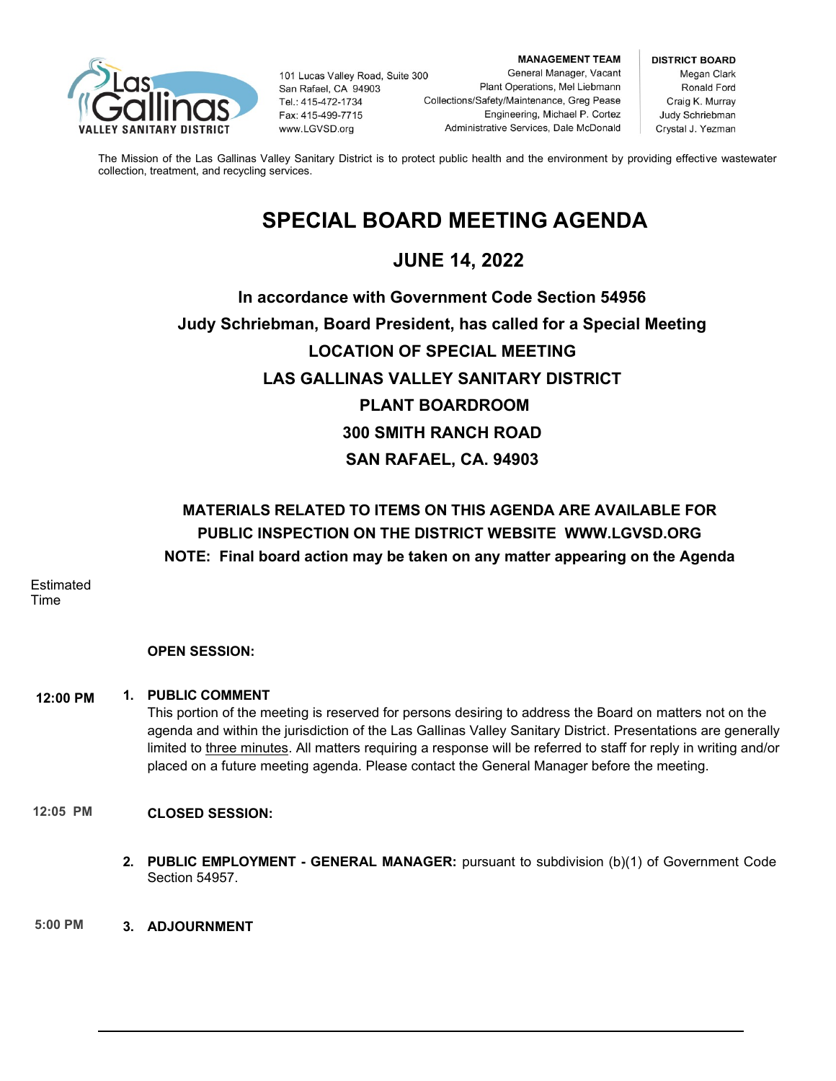

101 Lucas Valley Road, Suite 300 San Rafael, CA 94903 Tel.: 415-472-1734 Fax: 415-499-7715 www.LGVSD.org

**MANAGEMENT TEAM** General Manager, Vacant Plant Operations, Mel Liebmann Collections/Safety/Maintenance, Greg Pease Engineering, Michael P. Cortez Administrative Services, Dale McDonald

**DISTRICT BOARD** Megan Clark Ronald Ford Craig K. Murray Judy Schriebman Crystal J. Yezman

The Mission of the Las Gallinas Valley Sanitary District is to protect public health and the environment by providing effective wastewater collection, treatment, and recycling services.

# **SPECIAL BOARD MEETING AGENDA**

## **JUNE 14, 2022**

# **In accordance with Government Code Section 54956 Judy Schriebman, Board President, has called for a Special Meeting LOCATION OF SPECIAL MEETING LAS GALLINAS VALLEY SANITARY DISTRICT PLANT BOARDROOM 300 SMITH RANCH ROAD SAN RAFAEL, CA. 94903**

## **MATERIALS RELATED TO ITEMS ON THIS AGENDA ARE AVAILABLE FOR PUBLIC INSPECTION ON THE DISTRICT WEBSITE [WWW.LGVSD.ORG](http://www.lgvsd.org/) NOTE: Final board action may be taken on any matter appearing on the Agenda**

**Estimated** Time

### **OPEN SESSION:**

#### **1. PUBLIC COMMENT 8:05 AM 12:00 PM**

This portion of the meeting is reserved for persons desiring to address the Board on matters not on the agenda and within the jurisdiction of the Las Gallinas Valley Sanitary District. Presentations are generally limited to three minutes. All matters requiring a response will be referred to staff for reply in writing and/or placed on a future meeting agenda. Please contact the General Manager before the meeting.

#### **CLOSED SESSION: 12:05 PM**

**2. PUBLIC EMPLOYMENT - GENERAL MANAGER:** pursuant to subdivision (b)(1) of Government Code Section 54957.

**3. ADJOURNMENT 5:00 PM**